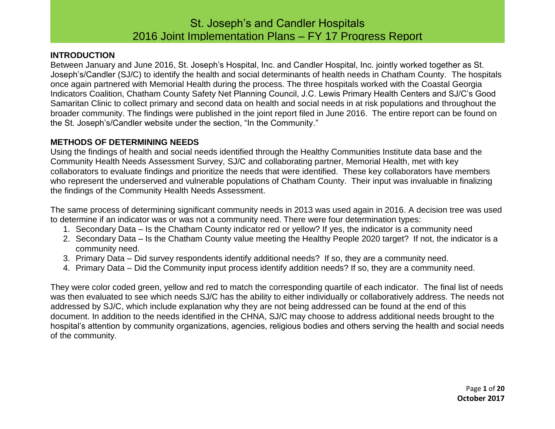### **INTRODUCTION**

Between January and June 2016, St. Joseph's Hospital, Inc. and Candler Hospital, Inc. jointly worked together as St. Joseph's/Candler (SJ/C) to identify the health and social determinants of health needs in Chatham County. The hospitals once again partnered with Memorial Health during the process. The three hospitals worked with the Coastal Georgia Indicators Coalition, Chatham County Safety Net Planning Council, J.C. Lewis Primary Health Centers and SJ/C's Good Samaritan Clinic to collect primary and second data on health and social needs in at risk populations and throughout the broader community. The findings were published in the joint report filed in June 2016. The entire report can be found on the St. Joseph's/Candler website under the section, "In the Community."

### **METHODS OF DETERMINING NEEDS**

Using the findings of health and social needs identified through the Healthy Communities Institute data base and the Community Health Needs Assessment Survey, SJ/C and collaborating partner, Memorial Health, met with key collaborators to evaluate findings and prioritize the needs that were identified. These key collaborators have members who represent the underserved and vulnerable populations of Chatham County. Their input was invaluable in finalizing the findings of the Community Health Needs Assessment.

The same process of determining significant community needs in 2013 was used again in 2016. A decision tree was used to determine if an indicator was or was not a community need. There were four determination types:

- 1. Secondary Data Is the Chatham County indicator red or yellow? If yes, the indicator is a community need
- 2. Secondary Data Is the Chatham County value meeting the Healthy People 2020 target? If not, the indicator is a community need.
- 3. Primary Data Did survey respondents identify additional needs? If so, they are a community need.
- 4. Primary Data Did the Community input process identify addition needs? If so, they are a community need.

They were color coded green, yellow and red to match the corresponding quartile of each indicator. The final list of needs was then evaluated to see which needs SJ/C has the ability to either individually or collaboratively address. The needs not addressed by SJ/C, which include explanation why they are not being addressed can be found at the end of this document. In addition to the needs identified in the CHNA, SJ/C may choose to address additional needs brought to the hospital's attention by community organizations, agencies, religious bodies and others serving the health and social needs of the community.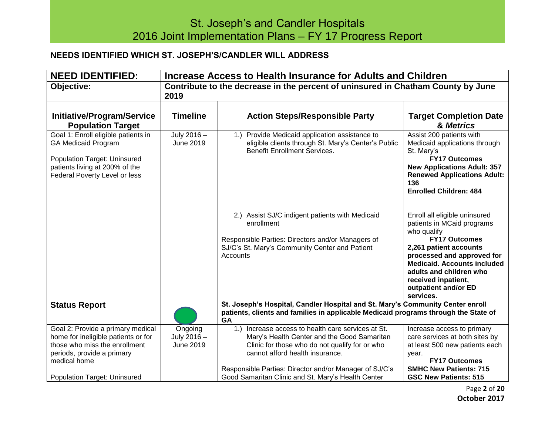### **NEEDS IDENTIFIED WHICH ST. JOSEPH'S/CANDLER WILL ADDRESS**

| <b>NEED IDENTIFIED:</b>                                                                                                                                                                        | Increase Access to Health Insurance for Adults and Children                              |                                                                                                                                                                                                                                                                                                        |                                                                                                                                                                                                                                                                                         |
|------------------------------------------------------------------------------------------------------------------------------------------------------------------------------------------------|------------------------------------------------------------------------------------------|--------------------------------------------------------------------------------------------------------------------------------------------------------------------------------------------------------------------------------------------------------------------------------------------------------|-----------------------------------------------------------------------------------------------------------------------------------------------------------------------------------------------------------------------------------------------------------------------------------------|
| Objective:                                                                                                                                                                                     | Contribute to the decrease in the percent of uninsured in Chatham County by June<br>2019 |                                                                                                                                                                                                                                                                                                        |                                                                                                                                                                                                                                                                                         |
| <b>Initiative/Program/Service</b><br><b>Population Target</b>                                                                                                                                  | <b>Timeline</b>                                                                          | <b>Action Steps/Responsible Party</b>                                                                                                                                                                                                                                                                  | <b>Target Completion Date</b><br>& Metrics                                                                                                                                                                                                                                              |
| Goal 1: Enroll eligible patients in<br><b>GA Medicaid Program</b><br><b>Population Target: Uninsured</b><br>patients living at 200% of the<br>Federal Poverty Level or less                    | July 2016 -<br>June 2019                                                                 | 1.) Provide Medicaid application assistance to<br>eligible clients through St. Mary's Center's Public<br><b>Benefit Enrollment Services.</b>                                                                                                                                                           | Assist 200 patients with<br>Medicaid applications through<br>St. Mary's<br><b>FY17 Outcomes</b><br><b>New Applications Adult: 357</b><br><b>Renewed Applications Adult:</b><br>136<br><b>Enrolled Children: 484</b>                                                                     |
|                                                                                                                                                                                                |                                                                                          | 2.) Assist SJ/C indigent patients with Medicaid<br>enrollment<br>Responsible Parties: Directors and/or Managers of<br>SJ/C's St. Mary's Community Center and Patient<br>Accounts                                                                                                                       | Enroll all eligible uninsured<br>patients in MCaid programs<br>who qualify<br><b>FY17 Outcomes</b><br>2,261 patient accounts<br>processed and approved for<br><b>Medicaid. Accounts included</b><br>adults and children who<br>received inpatient,<br>outpatient and/or ED<br>services. |
| <b>Status Report</b>                                                                                                                                                                           |                                                                                          | St. Joseph's Hospital, Candler Hospital and St. Mary's Community Center enroll<br>patients, clients and families in applicable Medicaid programs through the State of<br>GA                                                                                                                            |                                                                                                                                                                                                                                                                                         |
| Goal 2: Provide a primary medical<br>home for ineligible patients or for<br>those who miss the enrollment<br>periods, provide a primary<br>medical home<br><b>Population Target: Uninsured</b> | Ongoing<br>July 2016 -<br>June 2019                                                      | 1.) Increase access to health care services at St.<br>Mary's Health Center and the Good Samaritan<br>Clinic for those who do not qualify for or who<br>cannot afford health insurance.<br>Responsible Parties: Director and/or Manager of SJ/C's<br>Good Samaritan Clinic and St. Mary's Health Center | Increase access to primary<br>care services at both sites by<br>at least 500 new patients each<br>year.<br><b>FY17 Outcomes</b><br><b>SMHC New Patients: 715</b><br><b>GSC New Patients: 515</b>                                                                                        |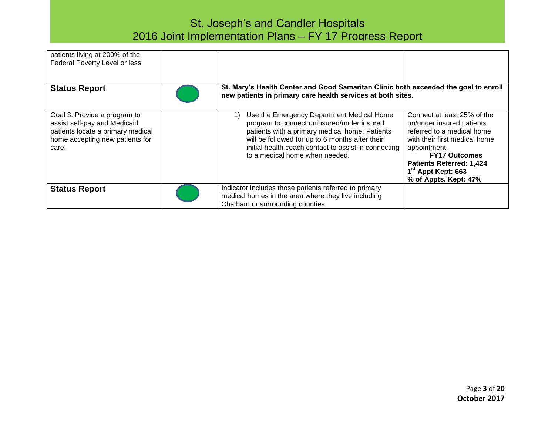| patients living at 200% of the<br>Federal Poverty Level or less                                                                               |                                                                                                                                                                                                                                                                                              |                                                                                                                                                                                                                                                               |
|-----------------------------------------------------------------------------------------------------------------------------------------------|----------------------------------------------------------------------------------------------------------------------------------------------------------------------------------------------------------------------------------------------------------------------------------------------|---------------------------------------------------------------------------------------------------------------------------------------------------------------------------------------------------------------------------------------------------------------|
| <b>Status Report</b>                                                                                                                          | St. Mary's Health Center and Good Samaritan Clinic both exceeded the goal to enroll<br>new patients in primary care health services at both sites.                                                                                                                                           |                                                                                                                                                                                                                                                               |
| Goal 3: Provide a program to<br>assist self-pay and Medicaid<br>patients locate a primary medical<br>home accepting new patients for<br>care. | Use the Emergency Department Medical Home<br>1)<br>program to connect uninsured/under insured<br>patients with a primary medical home. Patients<br>will be followed for up to 6 months after their<br>initial health coach contact to assist in connecting<br>to a medical home when needed. | Connect at least 25% of the<br>un/under insured patients<br>referred to a medical home<br>with their first medical home<br>appointment.<br><b>FY17 Outcomes</b><br><b>Patients Referred: 1,424</b><br>1 <sup>st</sup> Appt Kept: 663<br>% of Appts. Kept: 47% |
| <b>Status Report</b>                                                                                                                          | Indicator includes those patients referred to primary<br>medical homes in the area where they live including<br>Chatham or surrounding counties.                                                                                                                                             |                                                                                                                                                                                                                                                               |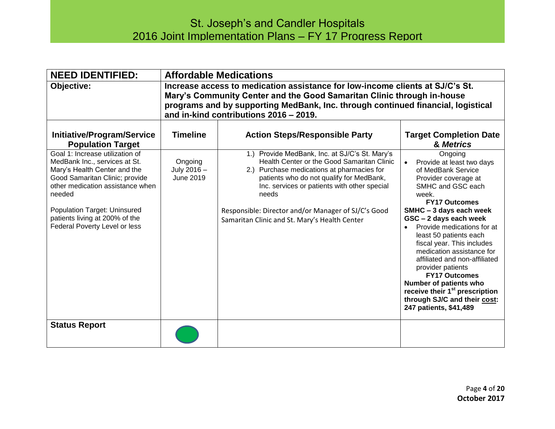| <b>NEED IDENTIFIED:</b>                                                                                                                                                                                                                                                             |                                                                                                                                                                                                                                                                                       | <b>Affordable Medications</b>                                                                                                                                                                                                                                                                                                                           |                                                                                                                                                                                                                                                                                                                                                                                                                                                                                                                                                            |
|-------------------------------------------------------------------------------------------------------------------------------------------------------------------------------------------------------------------------------------------------------------------------------------|---------------------------------------------------------------------------------------------------------------------------------------------------------------------------------------------------------------------------------------------------------------------------------------|---------------------------------------------------------------------------------------------------------------------------------------------------------------------------------------------------------------------------------------------------------------------------------------------------------------------------------------------------------|------------------------------------------------------------------------------------------------------------------------------------------------------------------------------------------------------------------------------------------------------------------------------------------------------------------------------------------------------------------------------------------------------------------------------------------------------------------------------------------------------------------------------------------------------------|
| Objective:                                                                                                                                                                                                                                                                          | Increase access to medication assistance for low-income clients at SJ/C's St.<br>Mary's Community Center and the Good Samaritan Clinic through in-house<br>programs and by supporting MedBank, Inc. through continued financial, logistical<br>and in-kind contributions 2016 - 2019. |                                                                                                                                                                                                                                                                                                                                                         |                                                                                                                                                                                                                                                                                                                                                                                                                                                                                                                                                            |
| <b>Initiative/Program/Service</b><br><b>Population Target</b>                                                                                                                                                                                                                       | <b>Timeline</b>                                                                                                                                                                                                                                                                       | <b>Action Steps/Responsible Party</b>                                                                                                                                                                                                                                                                                                                   | <b>Target Completion Date</b><br>& Metrics                                                                                                                                                                                                                                                                                                                                                                                                                                                                                                                 |
| Goal 1: Increase utilization of<br>MedBank Inc., services at St.<br>Mary's Health Center and the<br>Good Samaritan Clinic; provide<br>other medication assistance when<br>needed<br>Population Target: Uninsured<br>patients living at 200% of the<br>Federal Poverty Level or less | Ongoing<br>July 2016 -<br>June 2019                                                                                                                                                                                                                                                   | 1.) Provide MedBank, Inc. at SJ/C's St. Mary's<br>Health Center or the Good Samaritan Clinic<br>2.) Purchase medications at pharmacies for<br>patients who do not qualify for MedBank,<br>Inc. services or patients with other special<br>needs<br>Responsible: Director and/or Manager of SJ/C's Good<br>Samaritan Clinic and St. Mary's Health Center | Ongoing<br>Provide at least two days<br>$\bullet$<br>of MedBank Service<br>Provider coverage at<br>SMHC and GSC each<br>week.<br><b>FY17 Outcomes</b><br>SMHC - 3 days each week<br>GSC - 2 days each week<br>Provide medications for at<br>$\bullet$<br>least 50 patients each<br>fiscal year. This includes<br>medication assistance for<br>affiliated and non-affiliated<br>provider patients<br><b>FY17 Outcomes</b><br>Number of patients who<br>receive their 1 <sup>st</sup> prescription<br>through SJ/C and their cost:<br>247 patients, \$41,489 |
| <b>Status Report</b>                                                                                                                                                                                                                                                                |                                                                                                                                                                                                                                                                                       |                                                                                                                                                                                                                                                                                                                                                         |                                                                                                                                                                                                                                                                                                                                                                                                                                                                                                                                                            |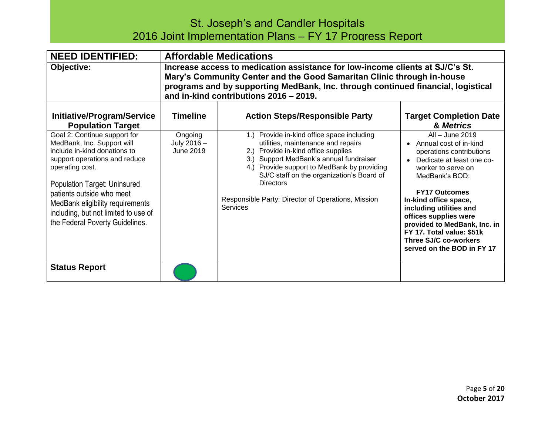| <b>NEED IDENTIFIED:</b>                                                                                                                                                                                                                                                                                                    |                                                                                                                                                                                                                                                                                       | <b>Affordable Medications</b>                                                                                                                                                                                                                                                                                                                         |                                                                                                                                                                                                                                                                                                                                                                       |
|----------------------------------------------------------------------------------------------------------------------------------------------------------------------------------------------------------------------------------------------------------------------------------------------------------------------------|---------------------------------------------------------------------------------------------------------------------------------------------------------------------------------------------------------------------------------------------------------------------------------------|-------------------------------------------------------------------------------------------------------------------------------------------------------------------------------------------------------------------------------------------------------------------------------------------------------------------------------------------------------|-----------------------------------------------------------------------------------------------------------------------------------------------------------------------------------------------------------------------------------------------------------------------------------------------------------------------------------------------------------------------|
| Objective:                                                                                                                                                                                                                                                                                                                 | Increase access to medication assistance for low-income clients at SJ/C's St.<br>Mary's Community Center and the Good Samaritan Clinic through in-house<br>programs and by supporting MedBank, Inc. through continued financial, logistical<br>and in-kind contributions 2016 - 2019. |                                                                                                                                                                                                                                                                                                                                                       |                                                                                                                                                                                                                                                                                                                                                                       |
| Initiative/Program/Service<br><b>Population Target</b>                                                                                                                                                                                                                                                                     | Timeline                                                                                                                                                                                                                                                                              | <b>Action Steps/Responsible Party</b>                                                                                                                                                                                                                                                                                                                 | <b>Target Completion Date</b><br>& Metrics                                                                                                                                                                                                                                                                                                                            |
| Goal 2: Continue support for<br>MedBank, Inc. Support will<br>include in-kind donations to<br>support operations and reduce<br>operating cost.<br>Population Target: Uninsured<br>patients outside who meet<br>MedBank eligibility requirements<br>including, but not limited to use of<br>the Federal Poverty Guidelines. | Ongoing<br>July 2016 -<br>June 2019                                                                                                                                                                                                                                                   | Provide in-kind office space including<br>1.<br>utilities, maintenance and repairs<br>Provide in-kind office supplies<br>3.) Support MedBank's annual fundraiser<br>Provide support to MedBank by providing<br>SJ/C staff on the organization's Board of<br><b>Directors</b><br>Responsible Party: Director of Operations, Mission<br><b>Services</b> | All - June 2019<br>• Annual cost of in-kind<br>operations contributions<br>Dedicate at least one co-<br>worker to serve on<br>MedBank's BOD:<br><b>FY17 Outcomes</b><br>In-kind office space,<br>including utilities and<br>offices supplies were<br>provided to MedBank, Inc. in<br>FY 17. Total value: \$51k<br>Three SJ/C co-workers<br>served on the BOD in FY 17 |
| <b>Status Report</b>                                                                                                                                                                                                                                                                                                       |                                                                                                                                                                                                                                                                                       |                                                                                                                                                                                                                                                                                                                                                       |                                                                                                                                                                                                                                                                                                                                                                       |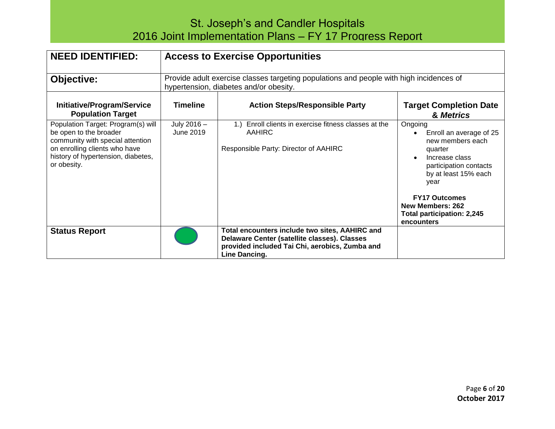| <b>NEED IDENTIFIED:</b>                                                                                                                                                                | <b>Access to Exercise Opportunities</b>                                                                                           |                                                                                                                                                                   |                                                                                                                                                                                                                                              |
|----------------------------------------------------------------------------------------------------------------------------------------------------------------------------------------|-----------------------------------------------------------------------------------------------------------------------------------|-------------------------------------------------------------------------------------------------------------------------------------------------------------------|----------------------------------------------------------------------------------------------------------------------------------------------------------------------------------------------------------------------------------------------|
| <b>Objective:</b>                                                                                                                                                                      | Provide adult exercise classes targeting populations and people with high incidences of<br>hypertension, diabetes and/or obesity. |                                                                                                                                                                   |                                                                                                                                                                                                                                              |
| Initiative/Program/Service<br><b>Population Target</b>                                                                                                                                 | <b>Timeline</b>                                                                                                                   | <b>Action Steps/Responsible Party</b>                                                                                                                             | <b>Target Completion Date</b><br>& Metrics                                                                                                                                                                                                   |
| Population Target: Program(s) will<br>be open to the broader<br>community with special attention<br>on enrolling clients who have<br>history of hypertension, diabetes,<br>or obesity. | July 2016 -<br>June 2019                                                                                                          | Enroll clients in exercise fitness classes at the<br>1.<br><b>AAHIRC</b><br>Responsible Party: Director of AAHIRC                                                 | Ongoing<br>Enroll an average of 25<br>new members each<br>quarter<br>Increase class<br>participation contacts<br>by at least 15% each<br>year<br><b>FY17 Outcomes</b><br>New Members: 262<br><b>Total participation: 2,245</b><br>encounters |
| <b>Status Report</b>                                                                                                                                                                   |                                                                                                                                   | Total encounters include two sites, AAHIRC and<br>Delaware Center (satellite classes). Classes<br>provided included Tai Chi, aerobics, Zumba and<br>Line Dancing. |                                                                                                                                                                                                                                              |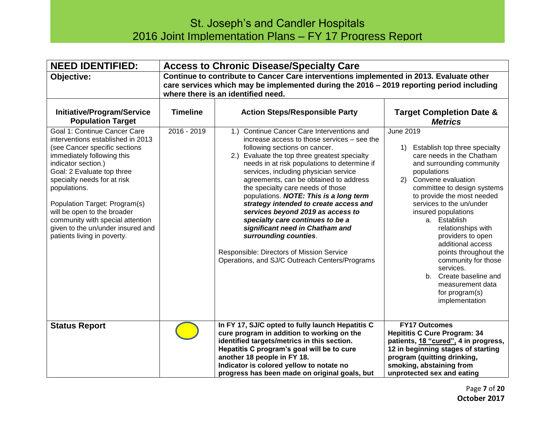| <b>NEED IDENTIFIED:</b>                                                                                                                                                                                                                                                                                                                                                                                                                                                       | <b>Access to Chronic Disease/Specialty Care</b>                                                                                                                                                                           |                                                                                                                                                                                                                                                                                                                                                                                                                                                                                                                                                                                                                                                                                                                         |                                                                                                                                                                                                                                                                                                                                                                                                                                                                                                                                                 |
|-------------------------------------------------------------------------------------------------------------------------------------------------------------------------------------------------------------------------------------------------------------------------------------------------------------------------------------------------------------------------------------------------------------------------------------------------------------------------------|---------------------------------------------------------------------------------------------------------------------------------------------------------------------------------------------------------------------------|-------------------------------------------------------------------------------------------------------------------------------------------------------------------------------------------------------------------------------------------------------------------------------------------------------------------------------------------------------------------------------------------------------------------------------------------------------------------------------------------------------------------------------------------------------------------------------------------------------------------------------------------------------------------------------------------------------------------------|-------------------------------------------------------------------------------------------------------------------------------------------------------------------------------------------------------------------------------------------------------------------------------------------------------------------------------------------------------------------------------------------------------------------------------------------------------------------------------------------------------------------------------------------------|
| Objective:                                                                                                                                                                                                                                                                                                                                                                                                                                                                    | Continue to contribute to Cancer Care interventions implemented in 2013. Evaluate other<br>care services which may be implemented during the 2016 - 2019 reporting period including<br>where there is an identified need. |                                                                                                                                                                                                                                                                                                                                                                                                                                                                                                                                                                                                                                                                                                                         |                                                                                                                                                                                                                                                                                                                                                                                                                                                                                                                                                 |
| <b>Initiative/Program/Service</b><br><b>Population Target</b><br>Goal 1: Continue Cancer Care<br>interventions established in 2013<br>(see Cancer specific sections<br>immediately following this<br>indicator section.)<br>Goal: 2 Evaluate top three<br>specialty needs for at risk<br>populations.<br>Population Target: Program(s)<br>will be open to the broader<br>community with special attention<br>given to the un/under insured and<br>patients living in poverty. | <b>Timeline</b><br>$2016 - 2019$                                                                                                                                                                                          | <b>Action Steps/Responsible Party</b><br>Continue Cancer Care Interventions and<br>(1)<br>increase access to those services - see the<br>following sections on cancer.<br>2.) Evaluate the top three greatest specialty<br>needs in at risk populations to determine if<br>services, including physician service<br>agreements, can be obtained to address<br>the specialty care needs of those<br>populations. NOTE: This is a long term<br>strategy intended to create access and<br>services beyond 2019 as access to<br>specialty care continues to be a<br>significant need in Chatham and<br>surrounding counties.<br>Responsible: Directors of Mission Service<br>Operations, and SJ/C Outreach Centers/Programs | <b>Target Completion Date &amp;</b><br><b>Metrics</b><br><b>June 2019</b><br>Establish top three specialty<br>1)<br>care needs in the Chatham<br>and surrounding community<br>populations<br>2) Convene evaluation<br>committee to design systems<br>to provide the most needed<br>services to the un/under<br>insured populations<br>a. Establish<br>relationships with<br>providers to open<br>additional access<br>points throughout the<br>community for those<br>services.<br>b. Create baseline and<br>measurement data<br>for program(s) |
| <b>Status Report</b>                                                                                                                                                                                                                                                                                                                                                                                                                                                          |                                                                                                                                                                                                                           | In FY 17, SJ/C opted to fully launch Hepatitis C<br>cure program in addition to working on the<br>identified targets/metrics in this section.<br>Hepatitis C program's goal will be to cure<br>another 18 people in FY 18.<br>Indicator is colored yellow to notate no<br>progress has been made on original goals, but                                                                                                                                                                                                                                                                                                                                                                                                 | implementation<br><b>FY17 Outcomes</b><br><b>Hepititis C Cure Program: 34</b><br>patients, 18 "cured", 4 in progress,<br>12 in beginning stages of starting<br>program (quitting drinking,<br>smoking, abstaining from<br>unprotected sex and eating                                                                                                                                                                                                                                                                                            |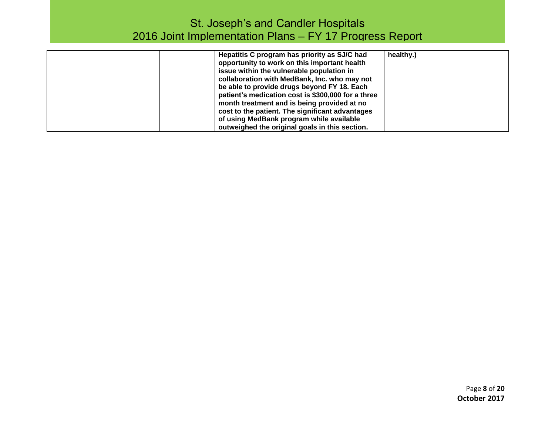| Hepatitis C program has priority as SJ/C had<br>opportunity to work on this important health<br>issue within the vulnerable population in<br>collaboration with MedBank, Inc. who may not<br>be able to provide drugs beyond FY 18. Each<br>patient's medication cost is \$300,000 for a three<br>month treatment and is being provided at no<br>cost to the patient. The significant advantages<br>of using MedBank program while available | healthy.) |
|----------------------------------------------------------------------------------------------------------------------------------------------------------------------------------------------------------------------------------------------------------------------------------------------------------------------------------------------------------------------------------------------------------------------------------------------|-----------|
| outweighed the original goals in this section.                                                                                                                                                                                                                                                                                                                                                                                               |           |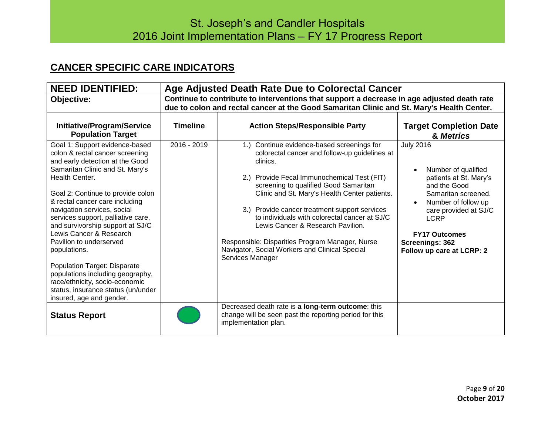### **CANCER SPECIFIC CARE INDICATORS**

| <b>NEED IDENTIFIED:</b>                                                                                                                                                                                                                                                                                                                                                                                                                                                                                                                                                                        | Age Adjusted Death Rate Due to Colorectal Cancer                                                                                                                                        |                                                                                                                                                                                                                                                                                                                                                                                                                                                                                                                  |                                                                                                                                                                                                                                                 |
|------------------------------------------------------------------------------------------------------------------------------------------------------------------------------------------------------------------------------------------------------------------------------------------------------------------------------------------------------------------------------------------------------------------------------------------------------------------------------------------------------------------------------------------------------------------------------------------------|-----------------------------------------------------------------------------------------------------------------------------------------------------------------------------------------|------------------------------------------------------------------------------------------------------------------------------------------------------------------------------------------------------------------------------------------------------------------------------------------------------------------------------------------------------------------------------------------------------------------------------------------------------------------------------------------------------------------|-------------------------------------------------------------------------------------------------------------------------------------------------------------------------------------------------------------------------------------------------|
| Objective:                                                                                                                                                                                                                                                                                                                                                                                                                                                                                                                                                                                     | Continue to contribute to interventions that support a decrease in age adjusted death rate<br>due to colon and rectal cancer at the Good Samaritan Clinic and St. Mary's Health Center. |                                                                                                                                                                                                                                                                                                                                                                                                                                                                                                                  |                                                                                                                                                                                                                                                 |
| <b>Initiative/Program/Service</b><br><b>Population Target</b>                                                                                                                                                                                                                                                                                                                                                                                                                                                                                                                                  | <b>Timeline</b><br>2016 - 2019                                                                                                                                                          | <b>Action Steps/Responsible Party</b>                                                                                                                                                                                                                                                                                                                                                                                                                                                                            | <b>Target Completion Date</b><br>& Metrics                                                                                                                                                                                                      |
| Goal 1: Support evidence-based<br>colon & rectal cancer screening<br>and early detection at the Good<br>Samaritan Clinic and St. Mary's<br>Health Center.<br>Goal 2: Continue to provide colon<br>& rectal cancer care including<br>navigation services, social<br>services support, palliative care,<br>and survivorship support at SJ/C<br>Lewis Cancer & Research<br>Pavilion to underserved<br>populations.<br><b>Population Target: Disparate</b><br>populations including geography,<br>race/ethnicity, socio-economic<br>status, insurance status (un/under<br>insured, age and gender. |                                                                                                                                                                                         | 1.) Continue evidence-based screenings for<br>colorectal cancer and follow-up guidelines at<br>clinics.<br>2.) Provide Fecal Immunochemical Test (FIT)<br>screening to qualified Good Samaritan<br>Clinic and St. Mary's Health Center patients.<br>3.) Provide cancer treatment support services<br>to individuals with colorectal cancer at SJ/C<br>Lewis Cancer & Research Pavilion.<br>Responsible: Disparities Program Manager, Nurse<br>Navigator, Social Workers and Clinical Special<br>Services Manager | <b>July 2016</b><br>Number of qualified<br>patients at St. Mary's<br>and the Good<br>Samaritan screened.<br>Number of follow up<br>care provided at SJ/C<br><b>LCRP</b><br><b>FY17 Outcomes</b><br>Screenings: 362<br>Follow up care at LCRP: 2 |
| <b>Status Report</b>                                                                                                                                                                                                                                                                                                                                                                                                                                                                                                                                                                           |                                                                                                                                                                                         | Decreased death rate is a long-term outcome; this<br>change will be seen past the reporting period for this<br>implementation plan.                                                                                                                                                                                                                                                                                                                                                                              |                                                                                                                                                                                                                                                 |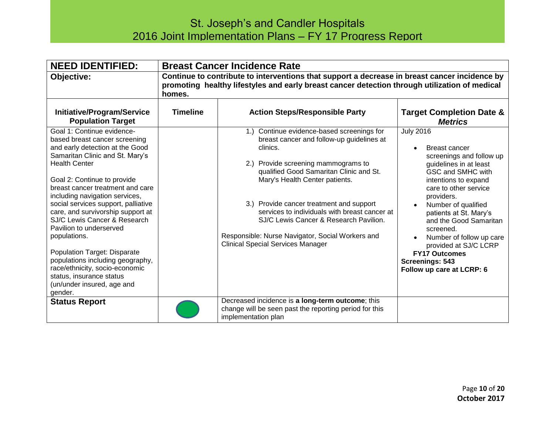| <b>NEED IDENTIFIED:</b>                                                                                                                                                                                                                                                                                                                                                                                                                                                                                                                                                                                 | <b>Breast Cancer Incidence Rate</b> |                                                                                                                                                                                                                                                                                                                                                                                                                                                                |                                                                                                                                                                                                                                                                                                                                                                                                  |
|---------------------------------------------------------------------------------------------------------------------------------------------------------------------------------------------------------------------------------------------------------------------------------------------------------------------------------------------------------------------------------------------------------------------------------------------------------------------------------------------------------------------------------------------------------------------------------------------------------|-------------------------------------|----------------------------------------------------------------------------------------------------------------------------------------------------------------------------------------------------------------------------------------------------------------------------------------------------------------------------------------------------------------------------------------------------------------------------------------------------------------|--------------------------------------------------------------------------------------------------------------------------------------------------------------------------------------------------------------------------------------------------------------------------------------------------------------------------------------------------------------------------------------------------|
| Objective:                                                                                                                                                                                                                                                                                                                                                                                                                                                                                                                                                                                              | homes.                              | Continue to contribute to interventions that support a decrease in breast cancer incidence by<br>promoting healthy lifestyles and early breast cancer detection through utilization of medical                                                                                                                                                                                                                                                                 |                                                                                                                                                                                                                                                                                                                                                                                                  |
| Initiative/Program/Service<br><b>Population Target</b>                                                                                                                                                                                                                                                                                                                                                                                                                                                                                                                                                  | <b>Timeline</b>                     | <b>Action Steps/Responsible Party</b>                                                                                                                                                                                                                                                                                                                                                                                                                          | <b>Target Completion Date &amp;</b><br><b>Metrics</b>                                                                                                                                                                                                                                                                                                                                            |
| Goal 1: Continue evidence-<br>based breast cancer screening<br>and early detection at the Good<br>Samaritan Clinic and St. Mary's<br><b>Health Center</b><br>Goal 2: Continue to provide<br>breast cancer treatment and care<br>including navigation services,<br>social services support, palliative<br>care, and survivorship support at<br>SJ/C Lewis Cancer & Research<br>Pavilion to underserved<br>populations.<br><b>Population Target: Disparate</b><br>populations including geography,<br>race/ethnicity, socio-economic<br>status, insurance status<br>(un/under insured, age and<br>gender. |                                     | 1.) Continue evidence-based screenings for<br>breast cancer and follow-up guidelines at<br>clinics.<br>2.) Provide screening mammograms to<br>qualified Good Samaritan Clinic and St.<br>Mary's Health Center patients.<br>3.) Provide cancer treatment and support<br>services to individuals with breast cancer at<br>SJ/C Lewis Cancer & Research Pavilion.<br>Responsible: Nurse Navigator, Social Workers and<br><b>Clinical Special Services Manager</b> | <b>July 2016</b><br>Breast cancer<br>screenings and follow up<br>guidelines in at least<br>GSC and SMHC with<br>intentions to expand<br>care to other service<br>providers.<br>Number of qualified<br>patients at St. Mary's<br>and the Good Samaritan<br>screened.<br>Number of follow up care<br>provided at SJ/C LCRP<br><b>FY17 Outcomes</b><br>Screenings: 543<br>Follow up care at LCRP: 6 |
| <b>Status Report</b>                                                                                                                                                                                                                                                                                                                                                                                                                                                                                                                                                                                    |                                     | Decreased incidence is a long-term outcome; this<br>change will be seen past the reporting period for this<br>implementation plan                                                                                                                                                                                                                                                                                                                              |                                                                                                                                                                                                                                                                                                                                                                                                  |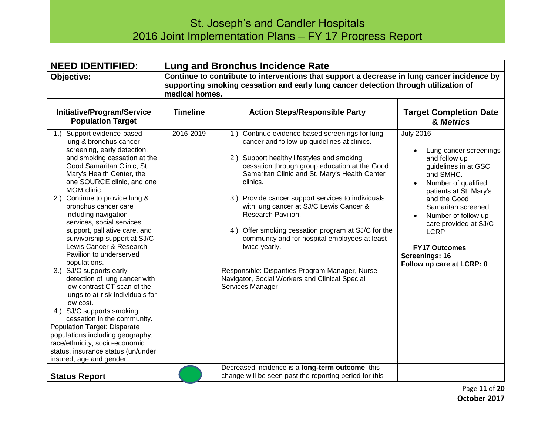| <b>NEED IDENTIFIED:</b>                                                                                                                                                                                                                                                                                                                                                                                                                                                                                                                                                                                                                                                                                                                                                                                                                                           |                 | <b>Lung and Bronchus Incidence Rate</b>                                                                                                                                                                                                                                                                                                                                                                                                                                                                                                                                                                                             |                                                                                                                                                                                                                                                                                                                                      |
|-------------------------------------------------------------------------------------------------------------------------------------------------------------------------------------------------------------------------------------------------------------------------------------------------------------------------------------------------------------------------------------------------------------------------------------------------------------------------------------------------------------------------------------------------------------------------------------------------------------------------------------------------------------------------------------------------------------------------------------------------------------------------------------------------------------------------------------------------------------------|-----------------|-------------------------------------------------------------------------------------------------------------------------------------------------------------------------------------------------------------------------------------------------------------------------------------------------------------------------------------------------------------------------------------------------------------------------------------------------------------------------------------------------------------------------------------------------------------------------------------------------------------------------------------|--------------------------------------------------------------------------------------------------------------------------------------------------------------------------------------------------------------------------------------------------------------------------------------------------------------------------------------|
| Objective:                                                                                                                                                                                                                                                                                                                                                                                                                                                                                                                                                                                                                                                                                                                                                                                                                                                        | medical homes.  | Continue to contribute to interventions that support a decrease in lung cancer incidence by<br>supporting smoking cessation and early lung cancer detection through utilization of                                                                                                                                                                                                                                                                                                                                                                                                                                                  |                                                                                                                                                                                                                                                                                                                                      |
| Initiative/Program/Service<br><b>Population Target</b>                                                                                                                                                                                                                                                                                                                                                                                                                                                                                                                                                                                                                                                                                                                                                                                                            | <b>Timeline</b> | <b>Action Steps/Responsible Party</b>                                                                                                                                                                                                                                                                                                                                                                                                                                                                                                                                                                                               | <b>Target Completion Date</b><br>& Metrics                                                                                                                                                                                                                                                                                           |
| 1.) Support evidence-based<br>lung & bronchus cancer<br>screening, early detection,<br>and smoking cessation at the<br>Good Samaritan Clinic, St.<br>Mary's Health Center, the<br>one SOURCE clinic, and one<br>MGM clinic.<br>2.) Continue to provide lung &<br>bronchus cancer care<br>including navigation<br>services, social services<br>support, palliative care, and<br>survivorship support at SJ/C<br>Lewis Cancer & Research<br>Pavilion to underserved<br>populations.<br>3.) SJ/C supports early<br>detection of lung cancer with<br>low contrast CT scan of the<br>lungs to at-risk individuals for<br>low cost.<br>4.) SJ/C supports smoking<br>cessation in the community.<br>Population Target: Disparate<br>populations including geography,<br>race/ethnicity, socio-economic<br>status, insurance status (un/under<br>insured, age and gender. | 2016-2019       | 1.) Continue evidence-based screenings for lung<br>cancer and follow-up guidelines at clinics.<br>2.) Support healthy lifestyles and smoking<br>cessation through group education at the Good<br>Samaritan Clinic and St. Mary's Health Center<br>clinics.<br>3.) Provide cancer support services to individuals<br>with lung cancer at SJ/C Lewis Cancer &<br>Research Pavilion.<br>4.) Offer smoking cessation program at SJ/C for the<br>community and for hospital employees at least<br>twice yearly.<br>Responsible: Disparities Program Manager, Nurse<br>Navigator, Social Workers and Clinical Special<br>Services Manager | <b>July 2016</b><br>Lung cancer screenings<br>and follow up<br>guidelines in at GSC<br>and SMHC.<br>Number of qualified<br>patients at St. Mary's<br>and the Good<br>Samaritan screened<br>Number of follow up<br>care provided at SJ/C<br><b>LCRP</b><br><b>FY17 Outcomes</b><br><b>Screenings: 16</b><br>Follow up care at LCRP: 0 |
| <b>Status Report</b>                                                                                                                                                                                                                                                                                                                                                                                                                                                                                                                                                                                                                                                                                                                                                                                                                                              |                 | Decreased incidence is a long-term outcome; this<br>change will be seen past the reporting period for this                                                                                                                                                                                                                                                                                                                                                                                                                                                                                                                          |                                                                                                                                                                                                                                                                                                                                      |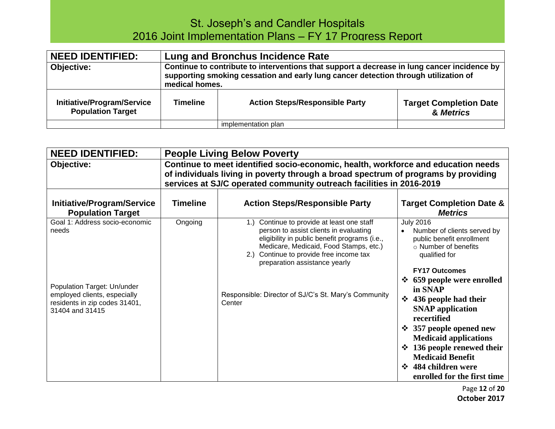| <b>NEED IDENTIFIED:</b>                                | Lung and Bronchus Incidence Rate                                                                                                                                                                     |                                       |                                            |
|--------------------------------------------------------|------------------------------------------------------------------------------------------------------------------------------------------------------------------------------------------------------|---------------------------------------|--------------------------------------------|
| Objective:                                             | Continue to contribute to interventions that support a decrease in lung cancer incidence by<br>supporting smoking cessation and early lung cancer detection through utilization of<br>medical homes. |                                       |                                            |
| Initiative/Program/Service<br><b>Population Target</b> | <b>Timeline</b>                                                                                                                                                                                      | <b>Action Steps/Responsible Party</b> | <b>Target Completion Date</b><br>& Metrics |
|                                                        |                                                                                                                                                                                                      | implementation plan                   |                                            |

| <b>NEED IDENTIFIED:</b>                                                                                         |                                                                                                                                                                                                                                                 | <b>People Living Below Poverty</b>                                                                                                                                                                                                                                |                                                                                                                                                                                                                                                                             |  |
|-----------------------------------------------------------------------------------------------------------------|-------------------------------------------------------------------------------------------------------------------------------------------------------------------------------------------------------------------------------------------------|-------------------------------------------------------------------------------------------------------------------------------------------------------------------------------------------------------------------------------------------------------------------|-----------------------------------------------------------------------------------------------------------------------------------------------------------------------------------------------------------------------------------------------------------------------------|--|
| Objective:                                                                                                      | Continue to meet identified socio-economic, health, workforce and education needs<br>of individuals living in poverty through a broad spectrum of programs by providing<br>services at SJ/C operated community outreach facilities in 2016-2019 |                                                                                                                                                                                                                                                                   |                                                                                                                                                                                                                                                                             |  |
| Initiative/Program/Service<br><b>Population Target</b>                                                          | <b>Timeline</b>                                                                                                                                                                                                                                 | <b>Action Steps/Responsible Party</b>                                                                                                                                                                                                                             | <b>Target Completion Date &amp;</b><br><b>Metrics</b>                                                                                                                                                                                                                       |  |
| Goal 1: Address socio-economic<br>needs                                                                         | Ongoing                                                                                                                                                                                                                                         | Continue to provide at least one staff<br>1.<br>person to assist clients in evaluating<br>eligibility in public benefit programs (i.e.,<br>Medicare, Medicaid, Food Stamps, etc.)<br>Continue to provide free income tax<br>(2.)<br>preparation assistance yearly | <b>July 2016</b><br>Number of clients served by<br>public benefit enrollment<br>○ Number of benefits<br>qualified for<br><b>FY17 Outcomes</b><br>659 people were enrolled<br>$\mathbf{r}$                                                                                   |  |
| Population Target: Un/under<br>employed clients, especially<br>residents in zip codes 31401,<br>31404 and 31415 |                                                                                                                                                                                                                                                 | Responsible: Director of SJ/C's St. Mary's Community<br>Center                                                                                                                                                                                                    | in SNAP<br>436 people had their<br>$\mathbf{A}$<br><b>SNAP</b> application<br>recertified<br>$\div$ 357 people opened new<br><b>Medicaid applications</b><br>136 people renewed their<br>❖<br><b>Medicaid Benefit</b><br>❖ 484 children were<br>enrolled for the first time |  |

Page **12** of **20 October 2017**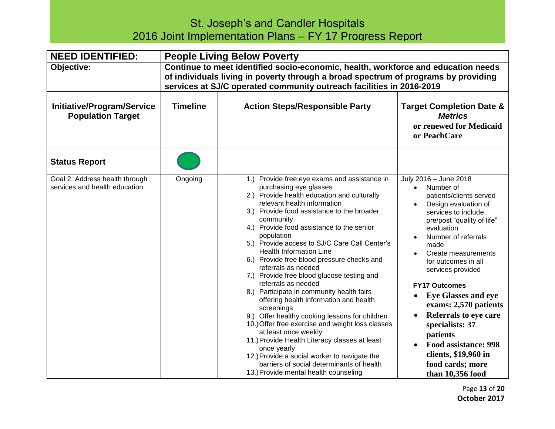| <b>NEED IDENTIFIED:</b>                                         | <b>People Living Below Poverty</b>                                                                                                                                                                                                              |                                                                                                                                                                                                                                                                                                                                                                                                                                                                                                                                                                                                                                                                                                                                                                                                                                                                                                                                                  |                                                                                                                                                                                                                                                                                                                                                                                                                                                                                                                            |
|-----------------------------------------------------------------|-------------------------------------------------------------------------------------------------------------------------------------------------------------------------------------------------------------------------------------------------|--------------------------------------------------------------------------------------------------------------------------------------------------------------------------------------------------------------------------------------------------------------------------------------------------------------------------------------------------------------------------------------------------------------------------------------------------------------------------------------------------------------------------------------------------------------------------------------------------------------------------------------------------------------------------------------------------------------------------------------------------------------------------------------------------------------------------------------------------------------------------------------------------------------------------------------------------|----------------------------------------------------------------------------------------------------------------------------------------------------------------------------------------------------------------------------------------------------------------------------------------------------------------------------------------------------------------------------------------------------------------------------------------------------------------------------------------------------------------------------|
| Objective:                                                      | Continue to meet identified socio-economic, health, workforce and education needs<br>of individuals living in poverty through a broad spectrum of programs by providing<br>services at SJ/C operated community outreach facilities in 2016-2019 |                                                                                                                                                                                                                                                                                                                                                                                                                                                                                                                                                                                                                                                                                                                                                                                                                                                                                                                                                  |                                                                                                                                                                                                                                                                                                                                                                                                                                                                                                                            |
| <b>Initiative/Program/Service</b><br><b>Population Target</b>   | <b>Timeline</b>                                                                                                                                                                                                                                 | <b>Action Steps/Responsible Party</b>                                                                                                                                                                                                                                                                                                                                                                                                                                                                                                                                                                                                                                                                                                                                                                                                                                                                                                            | <b>Target Completion Date &amp;</b><br><b>Metrics</b>                                                                                                                                                                                                                                                                                                                                                                                                                                                                      |
|                                                                 |                                                                                                                                                                                                                                                 |                                                                                                                                                                                                                                                                                                                                                                                                                                                                                                                                                                                                                                                                                                                                                                                                                                                                                                                                                  | or renewed for Medicaid<br>or PeachCare                                                                                                                                                                                                                                                                                                                                                                                                                                                                                    |
| <b>Status Report</b>                                            |                                                                                                                                                                                                                                                 |                                                                                                                                                                                                                                                                                                                                                                                                                                                                                                                                                                                                                                                                                                                                                                                                                                                                                                                                                  |                                                                                                                                                                                                                                                                                                                                                                                                                                                                                                                            |
| Goal 2: Address health through<br>services and health education | Ongoing                                                                                                                                                                                                                                         | 1.) Provide free eye exams and assistance in<br>purchasing eye glasses<br>2.) Provide health education and culturally<br>relevant health information<br>3.) Provide food assistance to the broader<br>community<br>4.) Provide food assistance to the senior<br>population<br>5.) Provide access to SJ/C Care Call Center's<br><b>Health Information Line</b><br>6.) Provide free blood pressure checks and<br>referrals as needed<br>7.) Provide free blood glucose testing and<br>referrals as needed<br>8.) Participate in community health fairs<br>offering health information and health<br>screenings<br>9.) Offer healthy cooking lessons for children<br>10.) Offer free exercise and weight loss classes<br>at least once weekly<br>11.) Provide Health Literacy classes at least<br>once yearly<br>12.) Provide a social worker to navigate the<br>barriers of social determinants of health<br>13.) Provide mental health counseling | July 2016 - June 2018<br>Number of<br>patients/clients served<br>Design evaluation of<br>services to include<br>pre/post "quality of life"<br>evaluation<br>Number of referrals<br>$\bullet$<br>made<br>Create measurements<br>$\bullet$<br>for outcomes in all<br>services provided<br><b>FY17 Outcomes</b><br><b>Eye Glasses and eye</b><br>exams: 2,570 patients<br>Referrals to eye care<br>specialists: 37<br>patients<br><b>Food assistance: 998</b><br>clients, \$19,960 in<br>food cards; more<br>than 10,356 food |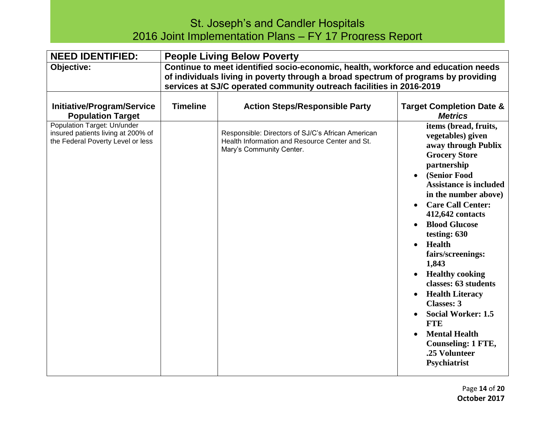| <b>NEED IDENTIFIED:</b>                                                                                                                                                 | <b>People Living Below Poverty</b>                                                                                                                                                                                                              |                                                                                                                                                                          |                                                                                                                                                                                                                                                                                                                                                                                                                                                                                                                                                                                                                        |
|-------------------------------------------------------------------------------------------------------------------------------------------------------------------------|-------------------------------------------------------------------------------------------------------------------------------------------------------------------------------------------------------------------------------------------------|--------------------------------------------------------------------------------------------------------------------------------------------------------------------------|------------------------------------------------------------------------------------------------------------------------------------------------------------------------------------------------------------------------------------------------------------------------------------------------------------------------------------------------------------------------------------------------------------------------------------------------------------------------------------------------------------------------------------------------------------------------------------------------------------------------|
| Objective:                                                                                                                                                              | Continue to meet identified socio-economic, health, workforce and education needs<br>of individuals living in poverty through a broad spectrum of programs by providing<br>services at SJ/C operated community outreach facilities in 2016-2019 |                                                                                                                                                                          |                                                                                                                                                                                                                                                                                                                                                                                                                                                                                                                                                                                                                        |
| <b>Initiative/Program/Service</b><br><b>Population Target</b><br>Population Target: Un/under<br>insured patients living at 200% of<br>the Federal Poverty Level or less | <b>Timeline</b>                                                                                                                                                                                                                                 | <b>Action Steps/Responsible Party</b><br>Responsible: Directors of SJ/C's African American<br>Health Information and Resource Center and St.<br>Mary's Community Center. | <b>Target Completion Date &amp;</b><br><b>Metrics</b><br>items (bread, fruits,<br>vegetables) given<br>away through Publix<br><b>Grocery Store</b><br>partnership<br>(Senior Food<br>$\bullet$<br><b>Assistance is included</b><br>in the number above)<br><b>Care Call Center:</b><br>412,642 contacts<br><b>Blood Glucose</b><br>testing: 630<br>Health<br>$\bullet$<br>fairs/screenings:<br>1,843<br><b>Healthy cooking</b><br>classes: 63 students<br><b>Health Literacy</b><br><b>Classes: 3</b><br><b>Social Worker: 1.5</b><br><b>FTE</b><br><b>Mental Health</b><br><b>Counseling: 1 FTE,</b><br>.25 Volunteer |
|                                                                                                                                                                         |                                                                                                                                                                                                                                                 |                                                                                                                                                                          | Psychiatrist                                                                                                                                                                                                                                                                                                                                                                                                                                                                                                                                                                                                           |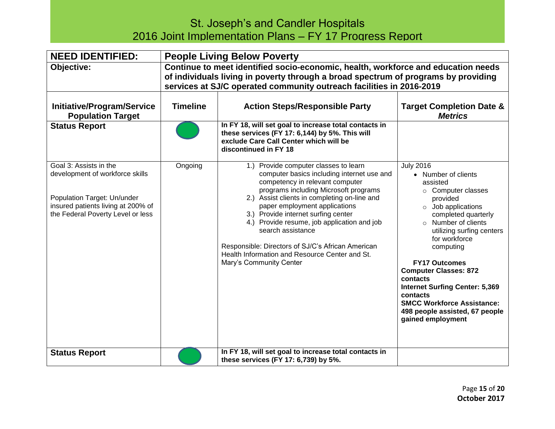| <b>NEED IDENTIFIED:</b>                                                                                                                                             | <b>People Living Below Poverty</b>                                                                                                                                                                                                              |                                                                                                                                                                                                                                                                                                                                                                                                                                                                                               |                                                                                                                                                                                                                                                                                                                                                                                                                                                 |
|---------------------------------------------------------------------------------------------------------------------------------------------------------------------|-------------------------------------------------------------------------------------------------------------------------------------------------------------------------------------------------------------------------------------------------|-----------------------------------------------------------------------------------------------------------------------------------------------------------------------------------------------------------------------------------------------------------------------------------------------------------------------------------------------------------------------------------------------------------------------------------------------------------------------------------------------|-------------------------------------------------------------------------------------------------------------------------------------------------------------------------------------------------------------------------------------------------------------------------------------------------------------------------------------------------------------------------------------------------------------------------------------------------|
| Objective:                                                                                                                                                          | Continue to meet identified socio-economic, health, workforce and education needs<br>of individuals living in poverty through a broad spectrum of programs by providing<br>services at SJ/C operated community outreach facilities in 2016-2019 |                                                                                                                                                                                                                                                                                                                                                                                                                                                                                               |                                                                                                                                                                                                                                                                                                                                                                                                                                                 |
| <b>Initiative/Program/Service</b><br><b>Population Target</b>                                                                                                       | <b>Timeline</b>                                                                                                                                                                                                                                 | <b>Action Steps/Responsible Party</b>                                                                                                                                                                                                                                                                                                                                                                                                                                                         | <b>Target Completion Date &amp;</b><br><b>Metrics</b>                                                                                                                                                                                                                                                                                                                                                                                           |
| <b>Status Report</b>                                                                                                                                                |                                                                                                                                                                                                                                                 | In FY 18, will set goal to increase total contacts in<br>these services (FY 17: 6,144) by 5%. This will<br>exclude Care Call Center which will be<br>discontinued in FY 18                                                                                                                                                                                                                                                                                                                    |                                                                                                                                                                                                                                                                                                                                                                                                                                                 |
| Goal 3: Assists in the<br>development of workforce skills<br>Population Target: Un/under<br>insured patients living at 200% of<br>the Federal Poverty Level or less | Ongoing                                                                                                                                                                                                                                         | 1.) Provide computer classes to learn<br>computer basics including internet use and<br>competency in relevant computer<br>programs including Microsoft programs<br>2.) Assist clients in completing on-line and<br>paper employment applications<br>3.) Provide internet surfing center<br>4.) Provide resume, job application and job<br>search assistance<br>Responsible: Directors of SJ/C's African American<br>Health Information and Resource Center and St.<br>Mary's Community Center | <b>July 2016</b><br>• Number of clients<br>assisted<br>○ Computer classes<br>provided<br>$\circ$ Job applications<br>completed quarterly<br>o Number of clients<br>utilizing surfing centers<br>for workforce<br>computing<br><b>FY17 Outcomes</b><br><b>Computer Classes: 872</b><br>contacts<br><b>Internet Surfing Center: 5,369</b><br>contacts<br><b>SMCC Workforce Assistance:</b><br>498 people assisted, 67 people<br>gained employment |
| <b>Status Report</b>                                                                                                                                                |                                                                                                                                                                                                                                                 | In FY 18, will set goal to increase total contacts in<br>these services (FY 17: 6,739) by 5%.                                                                                                                                                                                                                                                                                                                                                                                                 |                                                                                                                                                                                                                                                                                                                                                                                                                                                 |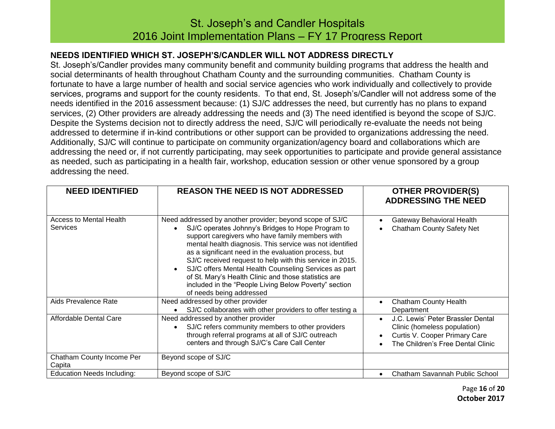### **NEEDS IDENTIFIED WHICH ST. JOSEPH'S/CANDLER WILL NOT ADDRESS DIRECTLY**

St. Joseph's/Candler provides many community benefit and community building programs that address the health and social determinants of health throughout Chatham County and the surrounding communities. Chatham County is fortunate to have a large number of health and social service agencies who work individually and collectively to provide services, programs and support for the county residents. To that end, St. Joseph's/Candler will not address some of the needs identified in the 2016 assessment because: (1) SJ/C addresses the need, but currently has no plans to expand services, (2) Other providers are already addressing the needs and (3) The need identified is beyond the scope of SJ/C. Despite the Systems decision not to directly address the need, SJ/C will periodically re-evaluate the needs not being addressed to determine if in-kind contributions or other support can be provided to organizations addressing the need. Additionally, SJ/C will continue to participate on community organization/agency board and collaborations which are addressing the need or, if not currently participating, may seek opportunities to participate and provide general assistance as needed, such as participating in a health fair, workshop, education session or other venue sponsored by a group addressing the need.

| <b>NEED IDENTIFIED</b>                            | <b>REASON THE NEED IS NOT ADDRESSED</b>                                                                                                                                                                                                                                                                                                                                                                                                                                                                                                                | <b>OTHER PROVIDER(S)</b><br><b>ADDRESSING THE NEED</b>                                                                                                            |
|---------------------------------------------------|--------------------------------------------------------------------------------------------------------------------------------------------------------------------------------------------------------------------------------------------------------------------------------------------------------------------------------------------------------------------------------------------------------------------------------------------------------------------------------------------------------------------------------------------------------|-------------------------------------------------------------------------------------------------------------------------------------------------------------------|
| <b>Access to Mental Health</b><br><b>Services</b> | Need addressed by another provider; beyond scope of SJ/C<br>SJ/C operates Johnny's Bridges to Hope Program to<br>support caregivers who have family members with<br>mental health diagnosis. This service was not identified<br>as a significant need in the evaluation process, but<br>SJ/C received request to help with this service in 2015.<br>SJ/C offers Mental Health Counseling Services as part<br>of St. Mary's Health Clinic and those statistics are<br>included in the "People Living Below Poverty" section<br>of needs being addressed | Gateway Behavioral Health<br><b>Chatham County Safety Net</b>                                                                                                     |
| Aids Prevalence Rate                              | Need addressed by other provider<br>SJ/C collaborates with other providers to offer testing a                                                                                                                                                                                                                                                                                                                                                                                                                                                          | <b>Chatham County Health</b><br>Department                                                                                                                        |
| Affordable Dental Care                            | Need addressed by another provider<br>SJ/C refers community members to other providers<br>through referral programs at all of SJ/C outreach<br>centers and through SJ/C's Care Call Center                                                                                                                                                                                                                                                                                                                                                             | J.C. Lewis' Peter Brassler Dental<br>$\bullet$<br>Clinic (homeless population)<br>Curtis V. Cooper Primary Care<br>$\bullet$<br>The Children's Free Dental Clinic |
| Chatham County Income Per<br>Capita               | Beyond scope of SJ/C                                                                                                                                                                                                                                                                                                                                                                                                                                                                                                                                   |                                                                                                                                                                   |
| <b>Education Needs Including:</b>                 | Beyond scope of SJ/C                                                                                                                                                                                                                                                                                                                                                                                                                                                                                                                                   | Chatham Savannah Public School<br>$\bullet$                                                                                                                       |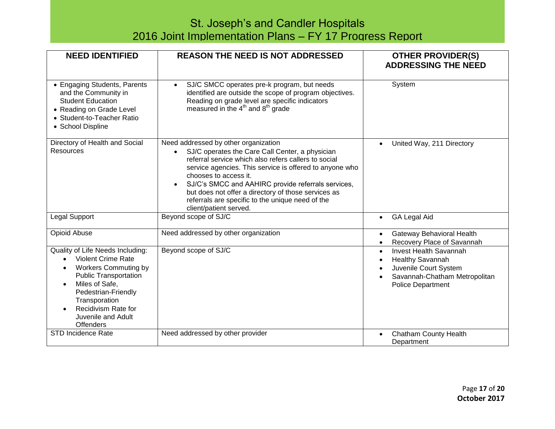| <b>NEED IDENTIFIED</b>                                                                                                                                                                                                                                               | <b>REASON THE NEED IS NOT ADDRESSED</b>                                                                                                                                                                                                                                                                                                                                                                                        | <b>OTHER PROVIDER(S)</b><br><b>ADDRESSING THE NEED</b>                                                                                                                   |
|----------------------------------------------------------------------------------------------------------------------------------------------------------------------------------------------------------------------------------------------------------------------|--------------------------------------------------------------------------------------------------------------------------------------------------------------------------------------------------------------------------------------------------------------------------------------------------------------------------------------------------------------------------------------------------------------------------------|--------------------------------------------------------------------------------------------------------------------------------------------------------------------------|
| • Engaging Students, Parents<br>and the Community in<br><b>Student Education</b><br>• Reading on Grade Level<br>• Student-to-Teacher Ratio<br>• School Displine                                                                                                      | SJ/C SMCC operates pre-k program, but needs<br>$\bullet$<br>identified are outside the scope of program objectives.<br>Reading on grade level are specific indicators<br>measured in the 4 <sup>th</sup> and 8 <sup>th</sup> grade                                                                                                                                                                                             | System                                                                                                                                                                   |
| Directory of Health and Social<br><b>Resources</b>                                                                                                                                                                                                                   | Need addressed by other organization<br>SJ/C operates the Care Call Center, a physician<br>referral service which also refers callers to social<br>service agencies. This service is offered to anyone who<br>chooses to access it.<br>SJ/C's SMCC and AAHIRC provide referrals services,<br>but does not offer a directory of those services as<br>referrals are specific to the unique need of the<br>client/patient served. | United Way, 211 Directory                                                                                                                                                |
| Legal Support                                                                                                                                                                                                                                                        | Beyond scope of SJ/C                                                                                                                                                                                                                                                                                                                                                                                                           | <b>GA Legal Aid</b><br>$\bullet$                                                                                                                                         |
| Opioid Abuse                                                                                                                                                                                                                                                         | Need addressed by other organization                                                                                                                                                                                                                                                                                                                                                                                           | Gateway Behavioral Health<br>$\bullet$<br>Recovery Place of Savannah                                                                                                     |
| Quality of Life Needs Including:<br><b>Violent Crime Rate</b><br>$\bullet$<br><b>Workers Commuting by</b><br><b>Public Transportation</b><br>Miles of Safe,<br>Pedestrian-Friendly<br>Transporation<br>Recidivism Rate for<br>Juvenile and Adult<br><b>Offenders</b> | Beyond scope of SJ/C                                                                                                                                                                                                                                                                                                                                                                                                           | <b>Invest Health Savannah</b><br>$\bullet$<br><b>Healthy Savannah</b><br>Juvenile Court System<br>Savannah-Chatham Metropolitan<br>$\bullet$<br><b>Police Department</b> |
| <b>STD Incidence Rate</b>                                                                                                                                                                                                                                            | Need addressed by other provider                                                                                                                                                                                                                                                                                                                                                                                               | <b>Chatham County Health</b><br>$\bullet$<br>Department                                                                                                                  |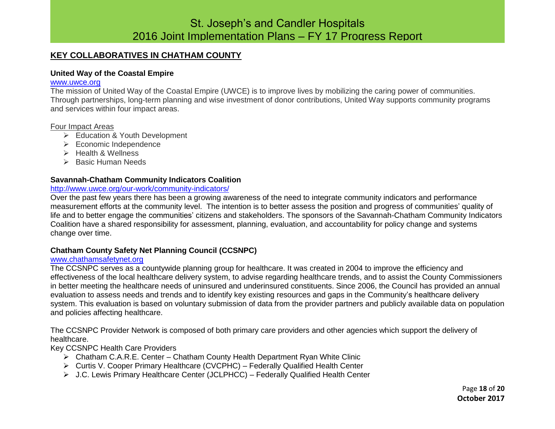### **KEY COLLABORATIVES IN CHATHAM COUNTY**

#### **United Way of the Coastal Empire**

#### [www.uwce.org](http://www.uwce.org/)

The mission of United Way of the Coastal Empire (UWCE) is to improve lives by mobilizing the caring power of communities. Through partnerships, long-term planning and wise investment of donor contributions, United Way supports community programs and services within four impact areas.

#### Four Impact Areas

- Education & Youth Development
- $\triangleright$  Economic Independence
- $\triangleright$  Health & Wellness
- $\triangleright$  Basic Human Needs

#### **Savannah-Chatham Community Indicators Coalition**

### <http://www.uwce.org/our-work/community-indicators/>

Over the past few years there has been a growing awareness of the need to integrate community indicators and performance measurement efforts at the community level. The intention is to better assess the position and progress of communities' quality of life and to better engage the communities' citizens and stakeholders. The sponsors of the Savannah-Chatham Community Indicators Coalition have a shared responsibility for assessment, planning, evaluation, and accountability for policy change and systems change over time.

### **Chatham County Safety Net Planning Council (CCSNPC)**

#### [www.chathamsafetynet.org](http://www.chathamsafetynet.org/)

The CCSNPC serves as a countywide planning group for healthcare. It was created in 2004 to improve the efficiency and effectiveness of the local healthcare delivery system, to advise regarding healthcare trends, and to assist the County Commissioners in better meeting the healthcare needs of uninsured and underinsured constituents. Since 2006, the Council has provided an annual evaluation to assess needs and trends and to identify key existing resources and gaps in the Community's healthcare delivery system. This evaluation is based on voluntary submission of data from the provider partners and publicly available data on population and policies affecting healthcare.

The CCSNPC Provider Network is composed of both primary care providers and other agencies which support the delivery of healthcare.

Key CCSNPC Health Care Providers

- Chatham C.A.R.E. Center Chatham County Health Department Ryan White Clinic
- Curtis V. Cooper Primary Healthcare (CVCPHC) Federally Qualified Health Center
- J.C. Lewis Primary Healthcare Center (JCLPHCC) Federally Qualified Health Center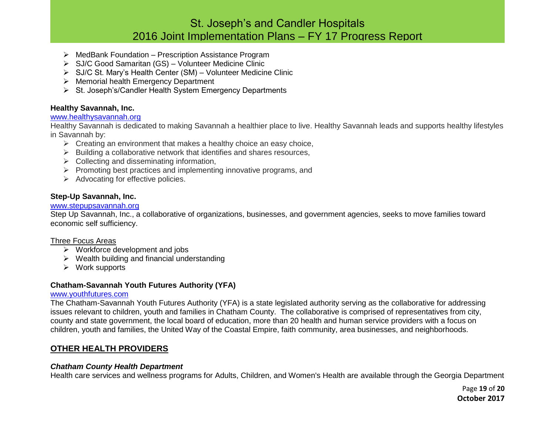- $\triangleright$  MedBank Foundation Prescription Assistance Program
- SJ/C Good Samaritan (GS) Volunteer Medicine Clinic
- $\triangleright$  SJ/C St. Mary's Health Center (SM) Volunteer Medicine Clinic
- $\triangleright$  Memorial health Emergency Department
- $\triangleright$  St. Joseph's/Candler Health System Emergency Departments

### **Healthy Savannah, Inc.**

#### [www.healthysavannah.org](http://www.healthysavannah.org/)

Healthy Savannah is dedicated to making Savannah a healthier place to live. Healthy Savannah leads and supports healthy lifestyles in Savannah by:

- $\triangleright$  Creating an environment that makes a healthy choice an easy choice,
- $\triangleright$  Building a collaborative network that identifies and shares resources,
- $\triangleright$  Collecting and disseminating information,
- $\triangleright$  Promoting best practices and implementing innovative programs, and
- $\triangleright$  Advocating for effective policies.

### **Step-Up Savannah, Inc.**

#### [www.stepupsavannah.org](http://www.stepupsavannah.org/)

Step Up Savannah, Inc., a collaborative of organizations, businesses, and government agencies, seeks to move families toward economic self sufficiency.

#### Three Focus Areas

- $\triangleright$  Workforce development and jobs
- $\triangleright$  Wealth building and financial understanding
- $\triangleright$  Work supports

### **Chatham-Savannah Youth Futures Authority (YFA)**

### [www.youthfutures.com](http://www.youthfutures.com/)

The Chatham-Savannah Youth Futures Authority (YFA) is a state legislated authority serving as the collaborative for addressing issues relevant to children, youth and families in Chatham County. The collaborative is comprised of representatives from city, county and state government, the local board of education, more than 20 health and human service providers with a focus on children, youth and families, the United Way of the Coastal Empire, faith community, area businesses, and neighborhoods.

### **OTHER HEALTH PROVIDERS**

#### *Chatham County Health Department*

Health care services and wellness programs for Adults, Children, and Women's Health are available through the Georgia Department

Page **19** of **20 October 2017**